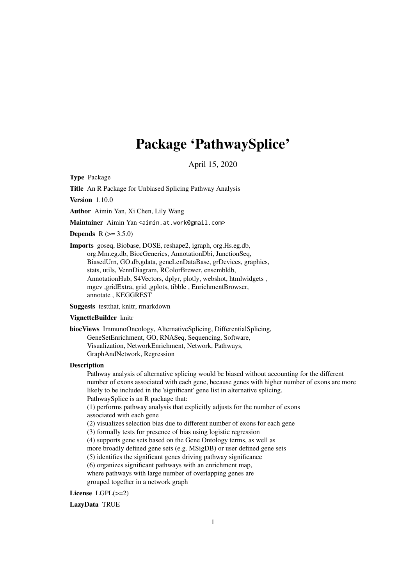## Package 'PathwaySplice'

April 15, 2020

Type Package

Title An R Package for Unbiased Splicing Pathway Analysis

Version 1.10.0

Author Aimin Yan, Xi Chen, Lily Wang

Maintainer Aimin Yan <aimin.at.work@gmail.com>

**Depends**  $R (= 3.5.0)$ 

Imports goseq, Biobase, DOSE, reshape2, igraph, org.Hs.eg.db, org.Mm.eg.db, BiocGenerics, AnnotationDbi, JunctionSeq, BiasedUrn, GO.db,gdata, geneLenDataBase, grDevices, graphics, stats, utils, VennDiagram, RColorBrewer, ensembldb, AnnotationHub, S4Vectors, dplyr, plotly, webshot, htmlwidgets , mgcv ,gridExtra, grid ,gplots, tibble , EnrichmentBrowser, annotate , KEGGREST

Suggests testthat, knitr, rmarkdown

#### VignetteBuilder knitr

biocViews ImmunoOncology, AlternativeSplicing, DifferentialSplicing, GeneSetEnrichment, GO, RNASeq, Sequencing, Software, Visualization, NetworkEnrichment, Network, Pathways, GraphAndNetwork, Regression

#### Description

Pathway analysis of alternative splicing would be biased without accounting for the different number of exons associated with each gene, because genes with higher number of exons are more likely to be included in the 'significant' gene list in alternative splicing. PathwaySplice is an R package that:

(1) performs pathway analysis that explicitly adjusts for the number of exons associated with each gene

(2) visualizes selection bias due to different number of exons for each gene

(3) formally tests for presence of bias using logistic regression

(4) supports gene sets based on the Gene Ontology terms, as well as

more broadly defined gene sets (e.g. MSigDB) or user defined gene sets

(5) identifies the significant genes driving pathway significance

(6) organizes significant pathways with an enrichment map,

where pathways with large number of overlapping genes are grouped together in a network graph

License LGPL(>=2)

LazyData TRUE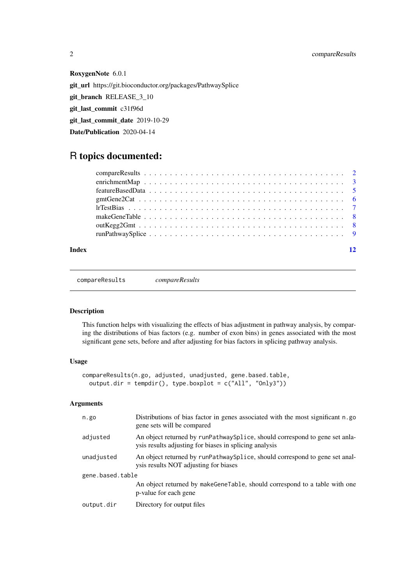RoxygenNote 6.0.1 git\_url https://git.bioconductor.org/packages/PathwaySplice git\_branch RELEASE\_3\_10 git\_last\_commit c31f96d git last commit date 2019-10-29 Date/Publication 2020-04-14

### R topics documented:

#### **Index** [12](#page-11-0)

compareResults *compareResults*

#### Description

This function helps with visualizing the effects of bias adjustment in pathway analysis, by comparing the distributions of bias factors (e.g. number of exon bins) in genes associated with the most significant gene sets, before and after adjusting for bias factors in splicing pathway analysis.

#### Usage

```
compareResults(n.go, adjusted, unadjusted, gene.based.table,
 output.dir = tempdir(), type.boxplot = c("All", "Only3"))
```
#### Arguments

| n.go             | Distributions of bias factor in genes associated with the most significant n.go<br>gene sets will be compared                          |
|------------------|----------------------------------------------------------------------------------------------------------------------------------------|
| adjusted         | An object returned by runPathway Splice, should correspond to gene set anla-<br>ysis results adjusting for biases in splicing analysis |
| unadjusted       | An object returned by runPathway Splice, should correspond to gene set anal-<br>ysis results NOT adjusting for biases                  |
| gene.based.table |                                                                                                                                        |
|                  | An object returned by makeGeneTable, should correspond to a table with one<br>p-value for each gene                                    |
| output.dir       | Directory for output files                                                                                                             |
|                  |                                                                                                                                        |

<span id="page-1-0"></span>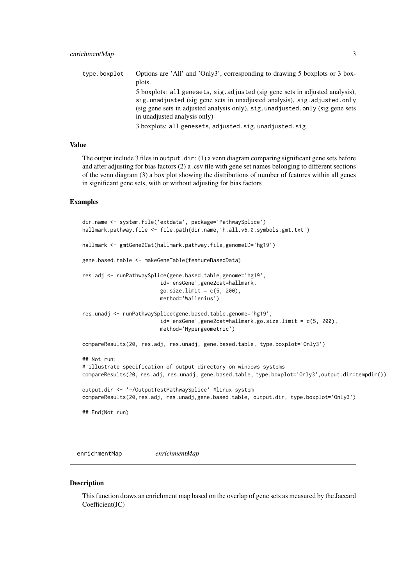<span id="page-2-0"></span>type.boxplot Options are 'All' and 'Only3', corresponding to drawing 5 boxplots or 3 boxplots. 5 boxplots: all genesets, sig.adjusted (sig gene sets in adjusted analysis), sig.unadjusted (sig gene sets in unadjusted analysis), sig.adjusted.only (sig gene sets in adjusted analysis only), sig.unadjusted.only (sig gene sets in unadjusted analysis only) 3 boxplots: all genesets, adjusted.sig, unadjusted.sig

#### Value

The output include 3 files in output.dir: (1) a venn diagram comparing significant gene sets before and after adjusting for bias factors (2) a .csv file with gene set names belonging to different sections of the venn diagram (3) a box plot showing the distributions of number of features within all genes in significant gene sets, with or without adjusting for bias factors

#### Examples

```
dir.name <- system.file('extdata', package='PathwaySplice')
hallmark.pathway.file <- file.path(dir.name,'h.all.v6.0.symbols.gmt.txt')
hallmark <- gmtGene2Cat(hallmark.pathway.file,genomeID='hg19')
gene.based.table <- makeGeneTable(featureBasedData)
res.adj <- runPathwaySplice(gene.based.table,genome='hg19',
                         id='ensGene',gene2cat=hallmark,
                         go.sizeuint = c(5, 200),
                         method='Wallenius')
res.unadj <- runPathwaySplice(gene.based.table,genome='hg19',
                         id='ensGene',gene2cat=hallmark,go.size.limit = c(5, 200),
                         method='Hypergeometric')
compareResults(20, res.adj, res.unadj, gene.based.table, type.boxplot='Only3')
## Not run:
# illustrate specification of output directory on windows systems
compareResults(20, res.adj, res.unadj, gene.based.table, type.boxplot='Only3',output.dir=tempdir())
output.dir <- '~/OutputTestPathwaySplice' #linux system
compareResults(20,res.adj, res.unadj,gene.based.table, output.dir, type.boxplot='Only3')
## End(Not run)
```
enrichmentMap *enrichmentMap*

#### Description

This function draws an enrichment map based on the overlap of gene sets as measured by the Jaccard Coefficient(JC)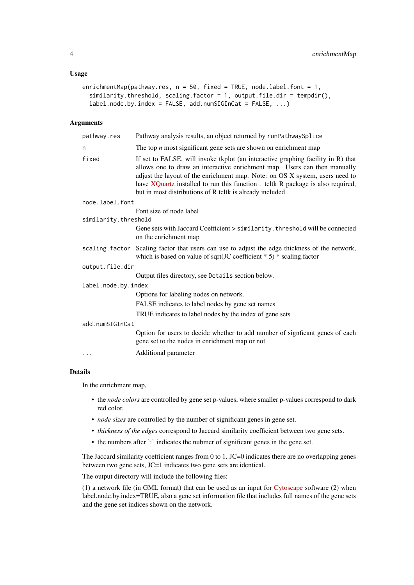#### Usage

```
enrichmentMap(pathway.res, n = 50, fixed = TRUE, node.label.font = 1,
  similarity.threshold, scaling.factor = 1, output.file.dir = tempdir(),
 label.node.by.index = FALSE, add.numSIGInCat = FALSE, ...)
```
#### Arguments

| pathway.res          | Pathway analysis results, an object returned by runPathwaySplice                                                                                                                                                                                                                                                                                                                            |
|----------------------|---------------------------------------------------------------------------------------------------------------------------------------------------------------------------------------------------------------------------------------------------------------------------------------------------------------------------------------------------------------------------------------------|
| n                    | The top $n$ most significant gene sets are shown on enrichment map                                                                                                                                                                                                                                                                                                                          |
| fixed                | If set to FALSE, will invoke tkplot (an interactive graphing facility in R) that<br>allows one to draw an interactive enrichment map. Users can then manually<br>adjust the layout of the enrichment map. Note: on OS X system, users need to<br>have XQuartz installed to run this function. teltk R package is also required,<br>but in most distributions of R tcltk is already included |
| node.label.font      |                                                                                                                                                                                                                                                                                                                                                                                             |
|                      | Font size of node label                                                                                                                                                                                                                                                                                                                                                                     |
| similarity.threshold |                                                                                                                                                                                                                                                                                                                                                                                             |
|                      | Gene sets with Jaccard Coefficient > similarity. threshold will be connected<br>on the enrichment map                                                                                                                                                                                                                                                                                       |
|                      | scaling factor Scaling factor that users can use to adjust the edge thickness of the network,<br>which is based on value of sqrt(JC coefficient $* 5) * scaling.factor$                                                                                                                                                                                                                     |
| output.file.dir      |                                                                                                                                                                                                                                                                                                                                                                                             |
|                      | Output files directory, see Details section below.                                                                                                                                                                                                                                                                                                                                          |
| label.node.by.index  |                                                                                                                                                                                                                                                                                                                                                                                             |
|                      | Options for labeling nodes on network.                                                                                                                                                                                                                                                                                                                                                      |
|                      | FALSE indicates to label nodes by gene set names                                                                                                                                                                                                                                                                                                                                            |
|                      | TRUE indicates to label nodes by the index of gene sets                                                                                                                                                                                                                                                                                                                                     |
| add.numSIGInCat      |                                                                                                                                                                                                                                                                                                                                                                                             |
|                      | Option for users to decide whether to add number of significant genes of each<br>gene set to the nodes in enrichment map or not                                                                                                                                                                                                                                                             |
| .                    | Additional parameter                                                                                                                                                                                                                                                                                                                                                                        |

#### Details

In the enrichment map,

- the *node colors* are controlled by gene set p-values, where smaller p-values correspond to dark red color.
- *node sizes* are controlled by the number of significant genes in gene set.
- *thickness of the edges* correspond to Jaccard similarity coefficient between two gene sets.
- the numbers after ':' indicates the nubmer of significant genes in the gene set.

The Jaccard similarity coefficient ranges from 0 to 1. JC=0 indicates there are no overlapping genes between two gene sets, JC=1 indicates two gene sets are identical.

The output directory will include the following files:

(1) a network file (in GML format) that can be used as an input for [Cytoscape](http://www.cytoscape.org/) software (2) when label.node.by.index=TRUE, also a gene set information file that includes full names of the gene sets and the gene set indices shown on the network.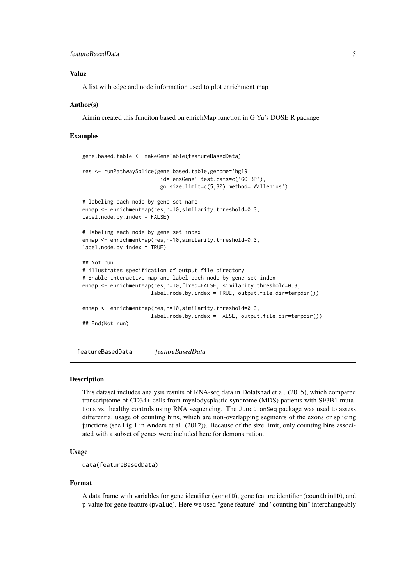#### <span id="page-4-0"></span>featureBasedData 5

#### Value

A list with edge and node information used to plot enrichment map

#### Author(s)

Aimin created this funciton based on enrichMap function in G Yu's DOSE R package

#### Examples

```
gene.based.table <- makeGeneTable(featureBasedData)
res <- runPathwaySplice(gene.based.table,genome='hg19',
                         id='ensGene',test.cats=c('GO:BP'),
                         go.size.limit=c(5,30),method='Wallenius')
# labeling each node by gene set name
enmap <- enrichmentMap(res,n=10,similarity.threshold=0.3,
label.node.by.index = FALSE)
# labeling each node by gene set index
enmap <- enrichmentMap(res, n=10, similarity.threshold=0.3,
label.node.by.index = TRUE)
## Not run:
# illustrates specification of output file directory
# Enable interactive map and label each node by gene set index
enmap <- enrichmentMap(res,n=10,fixed=FALSE, similarity.threshold=0.3,
                      label.node.by.index = TRUE, output.file.dir=tempdir())
enmap <- enrichmentMap(res, n=10, similarity.threshold=0.3,
                      label.node.by.index = FALSE, output.file.dir=tempdir())
## End(Not run)
```
featureBasedData *featureBasedData*

#### Description

This dataset includes analysis results of RNA-seq data in Dolatshad et al. (2015), which compared transcriptome of CD34+ cells from myelodysplastic syndrome (MDS) patients with SF3B1 mutations vs. healthy controls using RNA sequencing. The JunctionSeq package was used to assess differential usage of counting bins, which are non-overlapping segments of the exons or splicing junctions (see Fig 1 in Anders et al. (2012)). Because of the size limit, only counting bins associated with a subset of genes were included here for demonstration.

#### Usage

```
data(featureBasedData)
```
#### Format

A data frame with variables for gene identifier (geneID), gene feature identifier (countbinID), and p-value for gene feature (pvalue). Here we used "gene feature" and "counting bin" interchangeably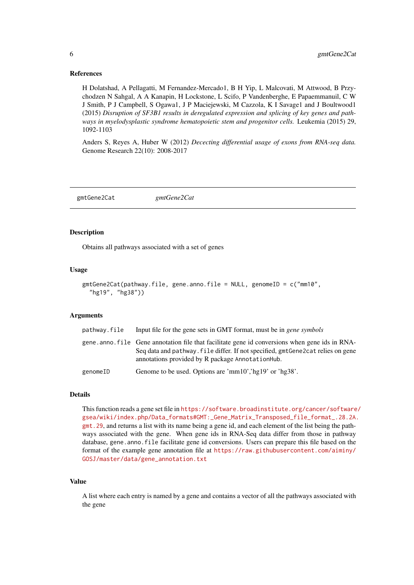#### <span id="page-5-0"></span>References

H Dolatshad, A Pellagatti, M Fernandez-Mercado1, B H Yip, L Malcovati, M Attwood, B Przychodzen N Sahgal, A A Kanapin, H Lockstone, L Scifo, P Vandenberghe, E Papaemmanuil, C W J Smith, P J Campbell, S Ogawa1, J P Maciejewski, M Cazzola, K I Savage1 and J Boultwood1 (2015) *Disruption of SF3B1 results in deregulated expression and splicing of key genes and pathways in myelodysplastic syndrome hematopoietic stem and progenitor cells.* Leukemia (2015) 29, 1092-1103

Anders S, Reyes A, Huber W (2012) *Dececting differential usage of exons from RNA-seq data.* Genome Research 22(10): 2008-2017

gmtGene2Cat *gmtGene2Cat*

#### Description

Obtains all pathways associated with a set of genes

#### Usage

```
gmtGene2Cat(pathway.file, gene.anno.file = NULL, genomeID = c("mm10",
  "hg19", "hg38"))
```
#### Arguments

| pathway.file | Input file for the gene sets in GMT format, must be in <i>gene symbols</i>                                                                                                                                                             |
|--------------|----------------------------------------------------------------------------------------------------------------------------------------------------------------------------------------------------------------------------------------|
|              | gene, anno, file Gene annotation file that facilitate gene id conversions when gene ids in RNA-<br>Seq data and pathway. file differ. If not specified, gmtGene2cat relies on gene<br>annotations provided by R package AnnotationHub. |
| genomeID     | Genome to be used. Options are 'mm10','hg19' or 'hg38'.                                                                                                                                                                                |

#### Details

This function reads a gene set file in [https://software.broadinstitute.org/cancer/software](https://software.broadinstitute.org/cancer/software/gsea/wiki/index.php/Data_formats#GMT:_Gene_Matrix_Transposed_file_format_.28.2A.gmt.29)/ [gsea/wiki/index.php/Data\\_formats#GMT:\\_Gene\\_Matrix\\_Transposed\\_file\\_format\\_.28.2A.](https://software.broadinstitute.org/cancer/software/gsea/wiki/index.php/Data_formats#GMT:_Gene_Matrix_Transposed_file_format_.28.2A.gmt.29) [gmt.29](https://software.broadinstitute.org/cancer/software/gsea/wiki/index.php/Data_formats#GMT:_Gene_Matrix_Transposed_file_format_.28.2A.gmt.29), and returns a list with its name being a gene id, and each element of the list being the pathways associated with the gene. When gene ids in RNA-Seq data differ from those in pathway database, gene.anno.file facilitate gene id conversions. Users can prepare this file based on the format of the example gene annotation file at [https://raw.githubusercontent.com/aiminy/](https://raw.githubusercontent.com/aiminy/GOSJ/master/data/gene_annotation.txt) [GOSJ/master/data/gene\\_annotation.txt](https://raw.githubusercontent.com/aiminy/GOSJ/master/data/gene_annotation.txt)

#### Value

A list where each entry is named by a gene and contains a vector of all the pathways associated with the gene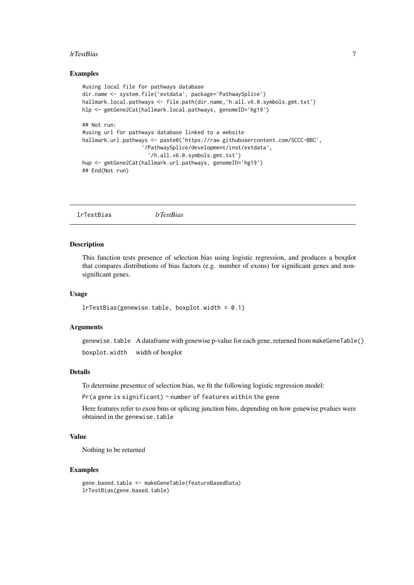#### <span id="page-6-0"></span>lrTestBias 7

#### Examples

```
#using local file for pathways database
dir.name <- system.file('extdata', package='PathwaySplice')
hallmark.local.pathways <- file.path(dir.name,'h.all.v6.0.symbols.gmt.txt')
hlp <- gmtGene2Cat(hallmark.local.pathways, genomeID='hg19')
## Not run:
#using url for pathways database linked to a website
hallmark.url.pathways <- paste0('https://raw.githubusercontent.com/SCCC-BBC',
                   '/PathwaySplice/development/inst/extdata',
                     '/h.all.v6.0.symbols.gmt.txt')
hup <- gmtGene2Cat(hallmark.url.pathways, genomeID='hg19')
## End(Not run)
```
lrTestBias *lrTestBias*

#### Description

This function tests presence of selection bias using logistic regression, and produces a boxplot that compares distributions of bias factors (e.g. number of exons) for significant genes and nonsignificant genes.

#### Usage

lrTestBias(genewise.table, boxplot.width = 0.1)

#### Arguments

genewise.table A dataframe with genewise p-value for each gene, returned from makeGeneTable() boxplot.width width of boxplot

#### Details

To determine presentce of selection bias, we fit the following logistic regression model:

 $Pr(a)$  gene is significant)  $\sim$  number of features within the gene

Here features refer to exon bins or splicing junction bins, depending on how genewise pvalues were obtained in the genewise.table

#### Value

Nothing to be returned

#### Examples

```
gene.based.table <- makeGeneTable(featureBasedData)
lrTestBias(gene.based.table)
```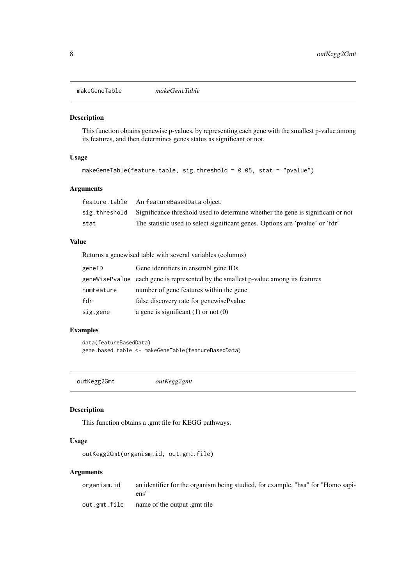<span id="page-7-0"></span>makeGeneTable *makeGeneTable*

#### Description

This function obtains genewise p-values, by representing each gene with the smallest p-value among its features, and then determines genes status as significant or not.

#### Usage

```
makeGeneTable(feature.table, sig.threshold = 0.05, stat = "pvalue")
```
#### Arguments

|      | feature.table An featureBasedData object.                                                      |
|------|------------------------------------------------------------------------------------------------|
|      | sig, threshold Significance threshold used to determine whether the gene is significant or not |
| stat | The statistic used to select significant genes. Options are 'pvalue' or 'fdr'                  |

#### Value

Returns a genewised table with several variables (columns)

| geneID     | Gene identifiers in ensembl gene IDs                                                 |
|------------|--------------------------------------------------------------------------------------|
|            | gene Wise Pvalue each gene is represented by the smallest p-value among its features |
| numFeature | number of gene features within the gene                                              |
| fdr        | false discovery rate for genewisePvalue                                              |
| sig.gene   | a gene is significant $(1)$ or not $(0)$                                             |

#### Examples

data(featureBasedData) gene.based.table <- makeGeneTable(featureBasedData)

outKegg2Gmt *outKegg2gmt*

#### Description

This function obtains a .gmt file for KEGG pathways.

#### Usage

outKegg2Gmt(organism.id, out.gmt.file)

#### Arguments

organism.id an identifier for the organism being studied, for example, "hsa" for "Homo sapiens" out.gmt.file name of the output .gmt file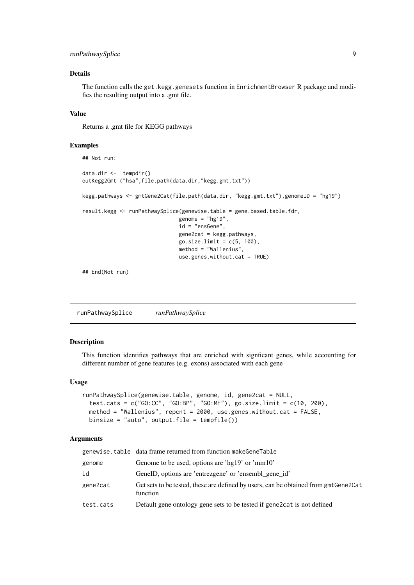#### <span id="page-8-0"></span>runPathwaySplice 9

#### Details

The function calls the get.kegg.genesets function in EnrichmentBrowser R package and modifies the resulting output into a .gmt file.

#### Value

Returns a .gmt file for KEGG pathways

#### Examples

```
## Not run:
data.dir <- tempdir()
outKegg2Gmt ("hsa",file.path(data.dir,"kegg.gmt.txt"))
kegg.pathways <- gmtGene2Cat(file.path(data.dir, "kegg.gmt.txt"),genomeID = "hg19")
result.kegg <- runPathwaySplice(genewise.table = gene.based.table.fdr,
                               genome = "hg19",
                               id = "ensGene",
                               gene2cat = kegg.pathways,
                               go.size.limit = c(5, 100),
                               method = "Wallenius",
                               use.genes.without.cat = TRUE)
## End(Not run)
```
runPathwaySplice *runPathwaySplice*

#### Description

This function identifies pathways that are enriched with signficant genes, while accounting for different number of gene features (e.g. exons) associated with each gene

#### Usage

```
runPathwaySplice(genewise.table, genome, id, gene2cat = NULL,
 test.cats = c("GO:CC", "GO:BP", "GO:MF"), go.size.limit = c(10, 200),
 method = "Wallenius", repcnt = 2000, use.genes.without.cat = FALSE,
 binsize = "auto", output.file = tempfile())
```
#### Arguments

|           | genewise.table data frame returned from function makeGeneTable                                  |
|-----------|-------------------------------------------------------------------------------------------------|
| genome    | Genome to be used, options are 'hg19' or 'mm10'                                                 |
| id        | GeneID, options are 'entrezgene' or 'ensembl_gene_id'                                           |
| gene2cat  | Get sets to be tested, these are defined by users, can be obtained from gmtGene2Cat<br>function |
| test.cats | Default gene ontology gene sets to be tested if gene 2 cat is not defined                       |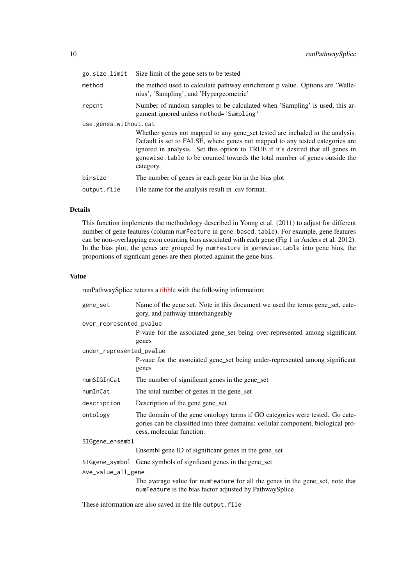| go.size.limit         | Size limit of the gene sets to be tested                                                                                                                                                                                                                                                                                                    |
|-----------------------|---------------------------------------------------------------------------------------------------------------------------------------------------------------------------------------------------------------------------------------------------------------------------------------------------------------------------------------------|
| method                | the method used to calculate pathway enrichment p value. Options are 'Walle-<br>nius', 'Sampling', and 'Hypergeometric'                                                                                                                                                                                                                     |
| repcnt                | Number of random samples to be calculated when 'Sampling' is used, this ar-<br>gument ignored unless method='Sampling'                                                                                                                                                                                                                      |
| use.genes.without.cat |                                                                                                                                                                                                                                                                                                                                             |
|                       | Whether genes not mapped to any gene set tested are included in the analysis.<br>Default is set to FALSE, where genes not mapped to any tested categories are<br>ignored in analysis. Set this option to TRUE if it's desired that all genes in<br>genewise. table to be counted towards the total number of genes outside the<br>category. |
| binsize               | The number of genes in each gene bin in the bias plot                                                                                                                                                                                                                                                                                       |
| output.file           | File name for the analysis result in .csv format.                                                                                                                                                                                                                                                                                           |
|                       |                                                                                                                                                                                                                                                                                                                                             |

#### Details

This function implements the methodology described in Young et al. (2011) to adjust for different number of gene features (column numFeature in gene.based.table). For example, gene features can be non-overlapping exon counting bins associated with each gene (Fig 1 in Anders et al. 2012). In the bias plot, the genes are grouped by numFeature in genewise.table into gene bins, the proportions of signficant genes are then plotted against the gene bins.

#### Value

runPathwaySplice returns a [tibble](https://cran.r-project.org/package=dplyr) with the following information:

| gene_set                 | Name of the gene set. Note in this document we used the terms gene_set, cate-<br>gory, and pathway interchangeably                                                                            |  |  |  |  |  |  |
|--------------------------|-----------------------------------------------------------------------------------------------------------------------------------------------------------------------------------------------|--|--|--|--|--|--|
| over_represented_pvalue  |                                                                                                                                                                                               |  |  |  |  |  |  |
|                          | P-vaue for the associated gene_set being over-represented among significant<br>genes                                                                                                          |  |  |  |  |  |  |
| under_represented_pvalue |                                                                                                                                                                                               |  |  |  |  |  |  |
|                          | P-vaue for the associated gene_set being under-represented among significant<br>genes                                                                                                         |  |  |  |  |  |  |
| numSIGInCat              | The number of significant genes in the gene_set                                                                                                                                               |  |  |  |  |  |  |
| numInCat                 | The total number of genes in the gene_set                                                                                                                                                     |  |  |  |  |  |  |
| description              | Description of the gene gene set                                                                                                                                                              |  |  |  |  |  |  |
| ontology                 | The domain of the gene ontology terms if GO categories were tested. Go cate-<br>gories can be classified into three domains: cellular component, biological pro-<br>cess, molecular function. |  |  |  |  |  |  |
| SIGgene_ensembl          |                                                                                                                                                                                               |  |  |  |  |  |  |
|                          | Ensembl gene ID of significant genes in the gene_set                                                                                                                                          |  |  |  |  |  |  |
|                          | SIGgene_symbol Gene symbols of signficant genes in the gene_set                                                                                                                               |  |  |  |  |  |  |
| Ave_value_all_gene       |                                                                                                                                                                                               |  |  |  |  |  |  |
|                          | The average value for numFeature for all the genes in the gene_set, note that<br>numFeature is the bias factor adjusted by PathwaySplice                                                      |  |  |  |  |  |  |

These information are also saved in the file output.file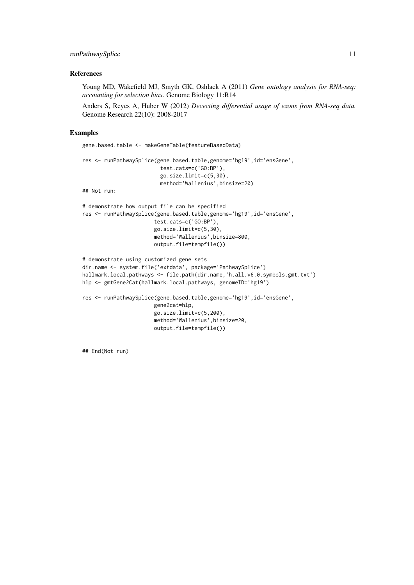#### runPathwaySplice 11

#### References

Young MD, Wakefield MJ, Smyth GK, Oshlack A (2011) *Gene ontology analysis for RNA-seq: accounting for selection bias*. Genome Biology 11:R14

Anders S, Reyes A, Huber W (2012) *Dececting differential usage of exons from RNA-seq data.* Genome Research 22(10): 2008-2017

#### Examples

```
gene.based.table <- makeGeneTable(featureBasedData)
res <- runPathwaySplice(gene.based.table,genome='hg19',id='ensGene',
                         test.cats=c('GO:BP'),
                         go.size.limit=c(5,30),
                         method='Wallenius',binsize=20)
## Not run:
# demonstrate how output file can be specified
res <- runPathwaySplice(gene.based.table,genome='hg19',id='ensGene',
                       test.cats=c('GO:BP'),
                       go.size.limit=c(5,30),
                       method='Wallenius',binsize=800,
                       output.file=tempfile())
# demonstrate using customized gene sets
dir.name <- system.file('extdata', package='PathwaySplice')
hallmark.local.pathways <- file.path(dir.name,'h.all.v6.0.symbols.gmt.txt')
hlp <- gmtGene2Cat(hallmark.local.pathways, genomeID='hg19')
res <- runPathwaySplice(gene.based.table,genome='hg19',id='ensGene',
                       gene2cat=hlp,
                       go.size.limit=c(5,200),
                       method='Wallenius',binsize=20,
                       output.file=tempfile())
```
## End(Not run)